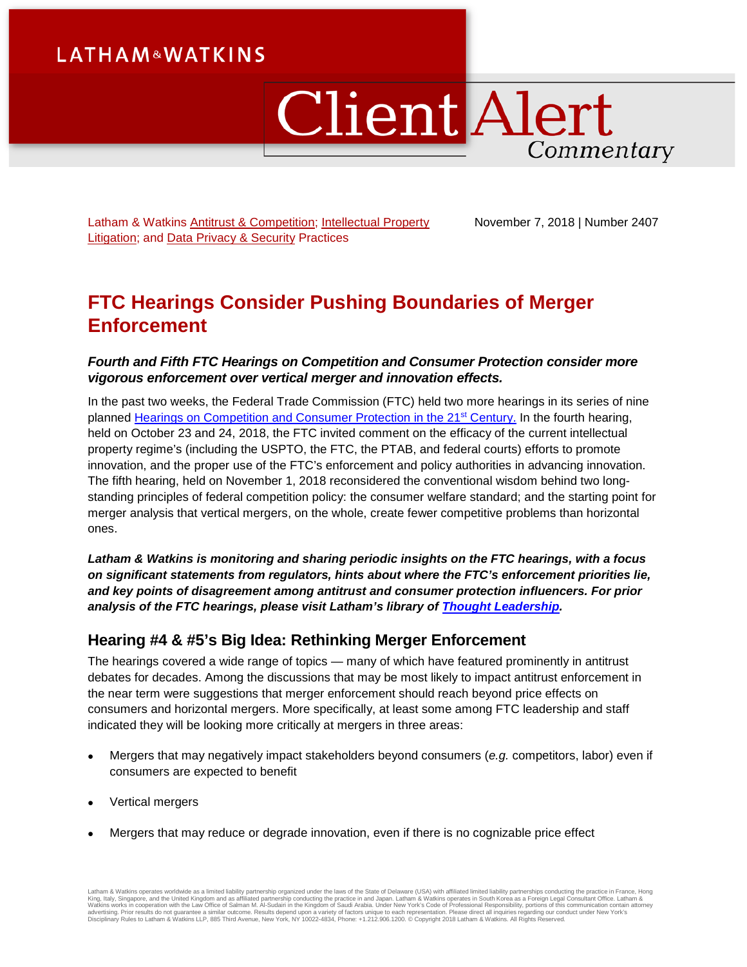# **LATHAM&WATKINS**

# **Client Alert** Commentary

Latham & Watkins [Antitrust & Competition;](https://www.lw.com/practices/AntitrustAndCompetition) Intellectual Property [Litigation;](https://www.lw.com/practices/IntellectualPropertyLitigation) and [Data Privacy & Security](https://www.lw.com/practices/DataPrivacy-Security) Practices

November 7, 2018 | Number 2407

## **FTC Hearings Consider Pushing Boundaries of Merger Enforcement**

#### *Fourth and Fifth FTC Hearings on Competition and Consumer Protection consider more vigorous enforcement over vertical merger and innovation effects.*

In the past two weeks, the Federal Trade Commission (FTC) held two more hearings in its series of nine planned [Hearings on Competition and Consumer Protection in the 21st](https://www.ftc.gov/news-events/events-calendar/2018/10/ftc-hearing-4-competition-consumer-protection-21st-century) Century. In the fourth hearing, held on October 23 and 24, 2018, the FTC invited comment on the efficacy of the current intellectual property regime's (including the USPTO, the FTC, the PTAB, and federal courts) efforts to promote innovation, and the proper use of the FTC's enforcement and policy authorities in advancing innovation. The fifth hearing, held on November 1, 2018 reconsidered the conventional wisdom behind two longstanding principles of federal competition policy: the consumer welfare standard; and the starting point for merger analysis that vertical mergers, on the whole, create fewer competitive problems than horizontal ones.

*Latham & Watkins is monitoring and sharing periodic insights on the FTC hearings, with a focus on significant statements from regulators, hints about where the FTC's enforcement priorities lie, and key points of disagreement among antitrust and consumer protection influencers. For prior analysis of the FTC hearings, please visit Latham's library of [Thought Leadership.](https://www.lw.com/thoughtLeadershipSearch.aspx?searchtopicids=87)*

## **Hearing #4 & #5's Big Idea: Rethinking Merger Enforcement**

The hearings covered a wide range of topics — many of which have featured prominently in antitrust debates for decades. Among the discussions that may be most likely to impact antitrust enforcement in the near term were suggestions that merger enforcement should reach beyond price effects on consumers and horizontal mergers. More specifically, at least some among FTC leadership and staff indicated they will be looking more critically at mergers in three areas:

- Mergers that may negatively impact stakeholders beyond consumers (*e.g.* competitors, labor) even if consumers are expected to benefit
- Vertical mergers
- Mergers that may reduce or degrade innovation, even if there is no cognizable price effect

Latham & Watkins operates worldwide as a limited liability partnership organized under the laws of the State of Delaware (USA) with affiliated limited liability partnerships conducting the practice in France, Hong King, Italy, Singapore, and the United Kingdom and as affiliated partnership conducting the practice in and Japan. Latham & Watkins operates in South Korea as a Foreign Legal Consultant Office. Latham &<br>Watkins works in co Disciplinary Rules to Latham & Watkins LLP, 885 Third Avenue, New York, NY 10022-4834, Phone: +1.212.906.1200. © Copyright 2018 Latham & Watkins. All Rights Reserved.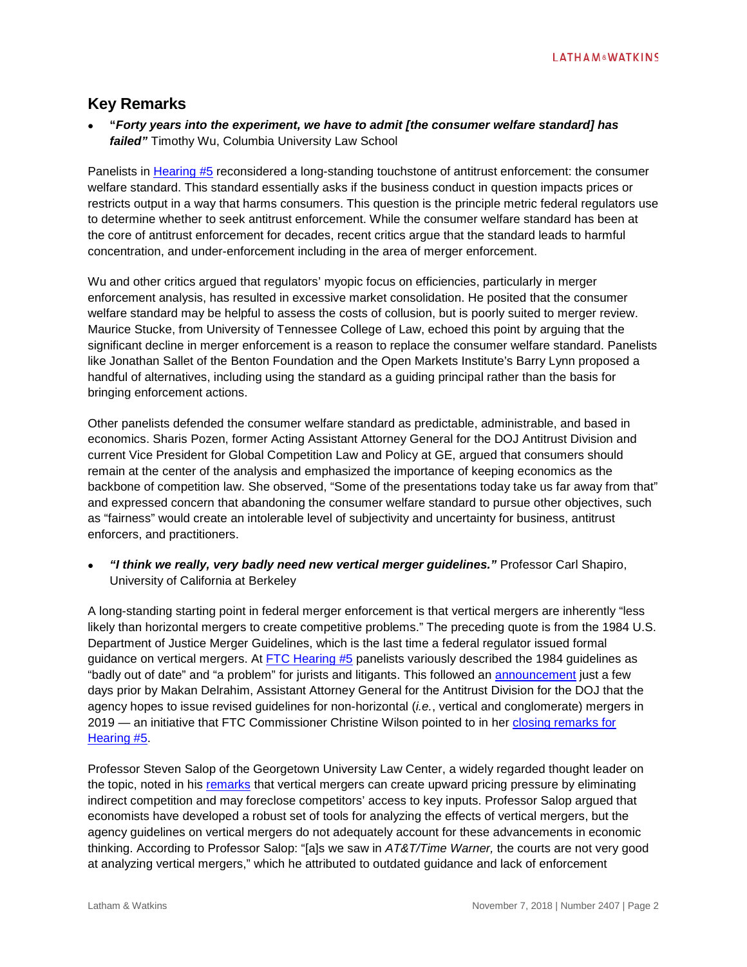## **Key Remarks**

• **"***Forty years into the experiment, we have to admit [the consumer welfare standard] has failed"* Timothy Wu, Columbia University Law School

Panelists in [Hearing #5](https://www.ftc.gov/news-events/audio-video/video/ftc-hearing-5-competition-consumer-protection-21st-century-vertical) reconsidered a long-standing touchstone of antitrust enforcement: the consumer welfare standard. This standard essentially asks if the business conduct in question impacts prices or restricts output in a way that harms consumers. This question is the principle metric federal regulators use to determine whether to seek antitrust enforcement. While the consumer welfare standard has been at the core of antitrust enforcement for decades, recent critics argue that the standard leads to harmful concentration, and under-enforcement including in the area of merger enforcement.

Wu and other critics argued that regulators' myopic focus on efficiencies, particularly in merger enforcement analysis, has resulted in excessive market consolidation. He posited that the consumer welfare standard may be helpful to assess the costs of collusion, but is poorly suited to merger review. Maurice Stucke, from University of Tennessee College of Law, echoed this point by arguing that the significant decline in merger enforcement is a reason to replace the consumer welfare standard. Panelists like Jonathan Sallet of the Benton Foundation and the Open Markets Institute's Barry Lynn proposed a handful of alternatives, including using the standard as a guiding principal rather than the basis for bringing enforcement actions.

Other panelists defended the consumer welfare standard as predictable, administrable, and based in economics. Sharis Pozen, former Acting Assistant Attorney General for the DOJ Antitrust Division and current Vice President for Global Competition Law and Policy at GE, argued that consumers should remain at the center of the analysis and emphasized the importance of keeping economics as the backbone of competition law. She observed, "Some of the presentations today take us far away from that" and expressed concern that abandoning the consumer welfare standard to pursue other objectives, such as "fairness" would create an intolerable level of subjectivity and uncertainty for business, antitrust enforcers, and practitioners.

• *"I think we really, very badly need new vertical merger guidelines."* Professor Carl Shapiro, University of California at Berkeley

A long-standing starting point in federal merger enforcement is that vertical mergers are inherently "less likely than horizontal mergers to create competitive problems." The preceding quote is from the 1984 U.S. Department of Justice Merger Guidelines, which is the last time a federal regulator issued formal guidance on vertical mergers. At [FTC Hearing #5](https://www.ftc.gov/news-events/events-calendar/ftc-hearing-5-competition-consumer-protection-21st-century) panelists variously described the 1984 guidelines as "badly out of date" and "a problem" for jurists and litigants. This followed an [announcement](https://www.law360.com/competition/articles/1098243/doj-vertical-merger-guidelines-called-badly-out-of-date-) just a few days prior by Makan Delrahim, Assistant Attorney General for the Antitrust Division for the DOJ that the agency hopes to issue revised guidelines for non-horizontal (*i.e.*, vertical and conglomerate) mergers in 2019 — an initiative that FTC Commissioner Christine Wilson pointed to in her [closing remarks for](https://www.ftc.gov/news-events/audio-video/video/ftc-hearing-5-competition-consumer-protection-21st-century-consumer-0)  [Hearing #5.](https://www.ftc.gov/news-events/audio-video/video/ftc-hearing-5-competition-consumer-protection-21st-century-consumer-0)

Professor Steven Salop of the Georgetown University Law Center, a widely regarded thought leader on the topic, noted in his [remarks](https://www.ftc.gov/news-events/audio-video/video/ftc-hearing-5-competition-consumer-protection-21st-century-consumer-0) that vertical mergers can create upward pricing pressure by eliminating indirect competition and may foreclose competitors' access to key inputs. Professor Salop argued that economists have developed a robust set of tools for analyzing the effects of vertical mergers, but the agency guidelines on vertical mergers do not adequately account for these advancements in economic thinking. According to Professor Salop: "[a]s we saw in *AT&T/Time Warner,* the courts are not very good at analyzing vertical mergers," which he attributed to outdated guidance and lack of enforcement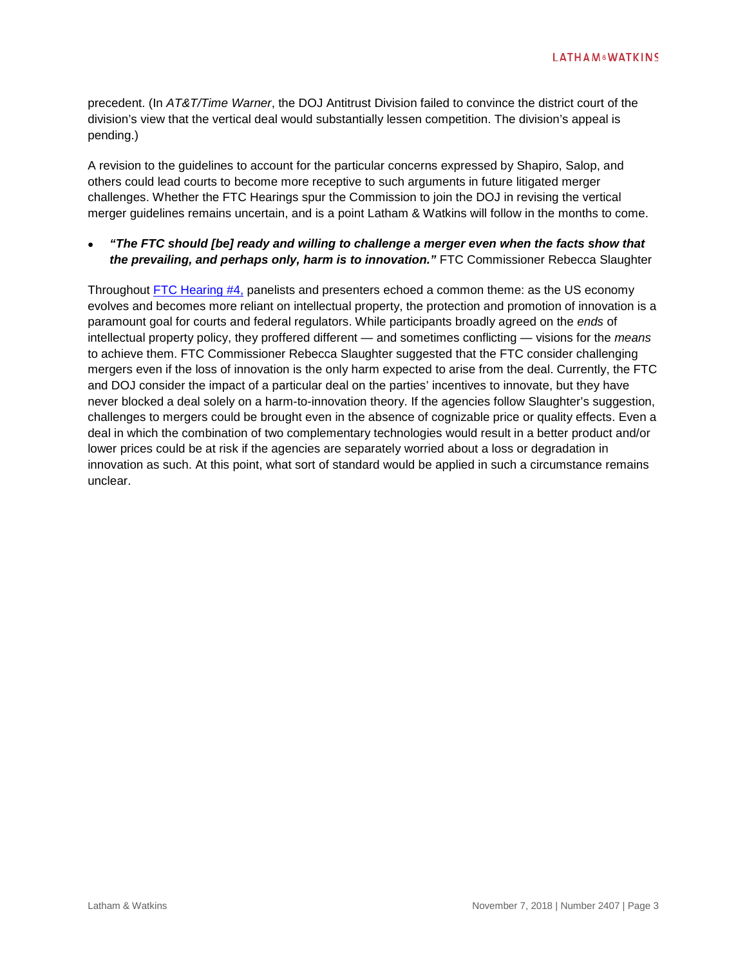precedent. (In *AT&T/Time Warner*, the DOJ Antitrust Division failed to convince the district court of the division's view that the vertical deal would substantially lessen competition. The division's appeal is pending.)

A revision to the guidelines to account for the particular concerns expressed by Shapiro, Salop, and others could lead courts to become more receptive to such arguments in future litigated merger challenges. Whether the FTC Hearings spur the Commission to join the DOJ in revising the vertical merger guidelines remains uncertain, and is a point Latham & Watkins will follow in the months to come.

#### • *"The FTC should [be] ready and willing to challenge a merger even when the facts show that the prevailing, and perhaps only, harm is to innovation."* FTC Commissioner Rebecca Slaughter

Throughout [FTC Hearing #4,](https://competition-consumer-protection-hearings.videoshowcase.net/october-23-hearing-part-1) panelists and presenters echoed a common theme: as the US economy evolves and becomes more reliant on intellectual property, the protection and promotion of innovation is a paramount goal for courts and federal regulators. While participants broadly agreed on the *ends* of intellectual property policy, they proffered different — and sometimes conflicting — visions for the *means* to achieve them. FTC Commissioner Rebecca Slaughter suggested that the FTC consider challenging mergers even if the loss of innovation is the only harm expected to arise from the deal. Currently, the FTC and DOJ consider the impact of a particular deal on the parties' incentives to innovate, but they have never blocked a deal solely on a harm-to-innovation theory. If the agencies follow Slaughter's suggestion, challenges to mergers could be brought even in the absence of cognizable price or quality effects. Even a deal in which the combination of two complementary technologies would result in a better product and/or lower prices could be at risk if the agencies are separately worried about a loss or degradation in innovation as such. At this point, what sort of standard would be applied in such a circumstance remains unclear.